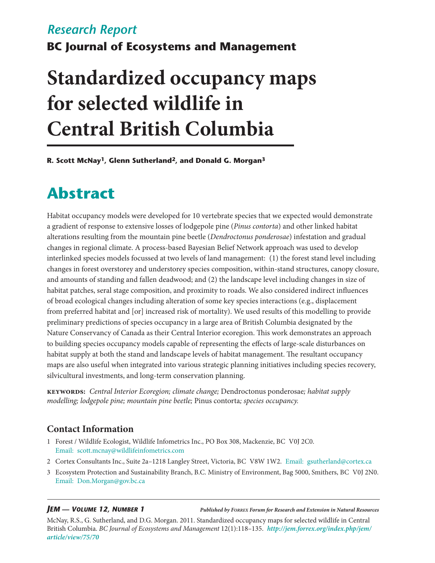# *Research Report*

**BC Journal of Ecosystems and Management**

# **Standardized occupancy maps for selected wildlife in Central British Columbia**

**R. Scott McNay1, Glenn Sutherland2, and Donald G. Morgan3**

# **Abstract**

Habitat occupancy models were developed for 10 vertebrate species that we expected would demonstrate a gradient of response to extensive losses of lodgepole pine (*Pinus contorta*) and other linked habitat alterations resulting from the mountain pine beetle (*Dendroctonus ponderosae*) infestation and gradual changes in regional climate. A process-based Bayesian Belief Network approach was used to develop interlinked species models focussed at two levels of land management: (1) the forest stand level including changes in forest overstorey and understorey species composition, within-stand structures, canopy closure, and amounts of standing and fallen deadwood; and (2) the landscape level including changes in size of habitat patches, seral stage composition, and proximity to roads. We also considered indirect influences of broad ecological changes including alteration of some key species interactions (e.g., displacement from preferred habitat and [or] increased risk of mortality). We used results of this modelling to provide preliminary predictions of species occupancy in a large area of British Columbia designated by the Nature Conservancy of Canada as their Central Interior ecoregion. This work demonstrates an approach to building species occupancy models capable of representing the effects of large-scale disturbances on habitat supply at both the stand and landscape levels of habitat management. The resultant occupancy maps are also useful when integrated into various strategic planning initiatives including species recovery, silvicultural investments, and long-term conservation planning.

**keywords:** *Central Interior Ecoregion; climate change;* Dendroctonus ponderosae*; habitat supply modelling; lodgepole pine; mountain pine beetle;* Pinus contorta*; species occupancy.*

# **Contact Information**

- 1 Forest / Wildlife Ecologist, Wildlife Infometrics Inc., PO Box 308, Mackenzie, BC V0J 2C0. Email: [scott.mcnay@wildlifeinfometrics.com](mailto:scott.mcnay%40wildlifeinfometrics.com?subject=)
- 2 Cortex Consultants Inc., Suite 2a–1218 Langley Street, Victoria, BC V8W 1W2. Email: [gsutherland@cortex.ca](mailto:gsutherland%40cortex.ca?subject=)
- 3 Ecosystem Protection and Sustainability Branch, B.C. Ministry of Environment, Bag 5000, Smithers, BC V0J 2N0. Email: [Don.Morgan@gov.bc.ca](mailto:Don.Morgan%40gov.bc.ca?subject=)

*JEM — Volume 12, Number 1*

*Published by Forrex Forum for Research and Extension in Natural Resources*

McNay, R.S., G. Sutherland, and D.G. Morgan. 2011. Standardized occupancy maps for selected wildlife in Central British Columbia. *BC Journal of Ecosystems and Management* 12(1):118–135. *[http://jem.forrex.org/index.php/jem/](http://jem.forrex.org/index.php/jem/article/view/75/70) [article/view/75/70](http://jem.forrex.org/index.php/jem/article/view/75/70)*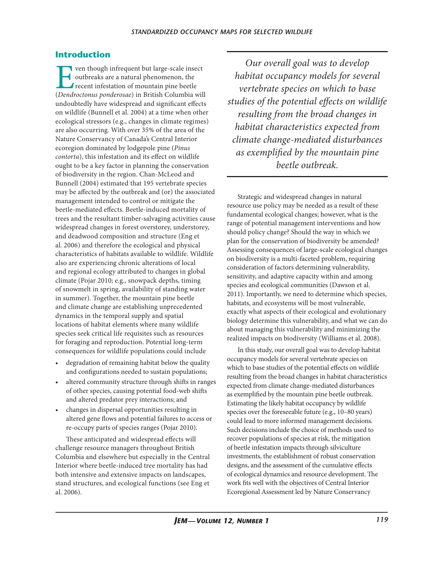# **Introduction**

France wenthough infrequent but large-scale insect<br>outbreaks are a natural phenomenon, the<br>recent infestation of mountain pine beetle<br>(*Dendroctonus ponderosae*) in British Columbia wil outbreaks are a natural phenomenon, the recent infestation of mountain pine beetle (*Dendroctonus ponderosae*) in British Columbia will undoubtedly have widespread and significant effects on wildlife (Bunnell et al. 2004) at a time when other ecological stressors (e.g., changes in climate regimes) are also occurring. With over 35% of the area of the Nature Conservancy of Canada's Central Interior ecoregion dominated by lodgepole pine (*Pinus contorta*), this infestation and its effect on wildlife ought to be a key factor in planning the conservation of biodiversity in the region. Chan-McLeod and Bunnell (2004) estimated that 195 vertebrate species may be affected by the outbreak and (or) the associated management intended to control or mitigate the beetle-mediated effects. Beetle-induced mortality of trees and the resultant timber-salvaging activities cause widespread changes in forest overstorey, understorey, and deadwood composition and structure (Eng et al. 2006) and therefore the ecological and physical characteristics of habitats available to wildlife. Wildlife also are experiencing chronic alterations of local and regional ecology attributed to changes in global climate (Pojar 2010; e.g., snowpack depths, timing of snowmelt in spring, availability of standing water in summer). Together, the mountain pine beetle and climate change are establishing unprecedented dynamics in the temporal supply and spatial locations of habitat elements where many wildlife species seek critical life requisites such as resources for foraging and reproduction. Potential long-term consequences for wildlife populations could include

- • degradation of remaining habitat below the quality and configurations needed to sustain populations;
- altered community structure through shifts in ranges of other species, causing potential food-web shifts and altered predator prey interactions; and
- • changes in dispersal opportunities resulting in altered gene flows and potential failures to access or re-occupy parts of species ranges (Pojar 2010).

These anticipated and widespread effects will challenge resource managers throughout British Columbia and elsewhere but especially in the Central Interior where beetle-induced tree mortality has had both intensive and extensive impacts on landscapes, stand structures, and ecological functions (see Eng et al. 2006).

*Our overall goal was to develop habitat occupancy models for several vertebrate species on which to base studies of the potential effects on wildlife resulting from the broad changes in habitat characteristics expected from climate change-mediated disturbances as exemplified by the mountain pine beetle outbreak.* 

Strategic and widespread changes in natural resource use policy may be needed as a result of these fundamental ecological changes; however, what is the range of potential management interventions and how should policy change? Should the way in which we plan for the conservation of biodiversity be amended? Assessing consequences of large-scale ecological changes on biodiversity is a multi-faceted problem, requiring consideration of factors determining vulnerability, sensitivity, and adaptive capacity within and among species and ecological communities (Dawson et al. 2011). Importantly, we need to determine which species, habitats, and ecosystems will be most vulnerable, exactly what aspects of their ecological and evolutionary biology determine this vulnerability, and what we can do about managing this vulnerability and minimizing the realized impacts on biodiversity (Williams et al. 2008).

In this study, our overall goal was to develop habitat occupancy models for several vertebrate species on which to base studies of the potential effects on wildlife resulting from the broad changes in habitat characteristics expected from climate change-mediated disturbances as exemplified by the mountain pine beetle outbreak. Estimating the likely habitat occupancy by wildlife species over the foreseeable future (e.g., 10–80 years) could lead to more informed management decisions. Such decisions include the choice of methods used to recover populations of species at risk, the mitigation of beetle infestation impacts through silviculture investments, the establishment of robust conservation designs, and the assessment of the cumulative effects of ecological dynamics and resource development. The work fits well with the objectives of Central Interior Ecoregional Assessment led by Nature Conservancy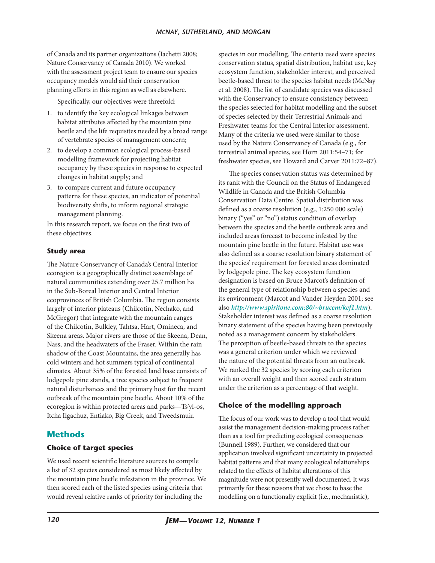of Canada and its partner organizations (Iachetti 2008; Nature Conservancy of Canada 2010). We worked with the assessment project team to ensure our species occupancy models would aid their conservation planning efforts in this region as well as elsewhere.

Specifically, our objectives were threefold:

- 1. to identify the key ecological linkages between habitat attributes affected by the mountain pine beetle and the life requisites needed by a broad range of vertebrate species of management concern;
- 2. to develop a common ecological process-based modelling framework for projecting habitat occupancy by these species in response to expected changes in habitat supply; and
- 3. to compare current and future occupancy patterns for these species, an indicator of potential biodiversity shifts, to inform regional strategic management planning.

In this research report, we focus on the first two of these objectives.

### **Study area**

The Nature Conservancy of Canada's Central Interior ecoregion is a geographically distinct assemblage of natural communities extending over 25.7 million ha in the Sub-Boreal Interior and Central Interior ecoprovinces of British Columbia. The region consists largely of interior plateaus (Chilcotin, Nechako, and McGregor) that integrate with the mountain ranges of the Chilcotin, Bulkley, Tahtsa, Hart, Omineca, and Skeena areas. Major rivers are those of the Skeena, Dean, Nass, and the headwaters of the Fraser. Within the rain shadow of the Coast Mountains, the area generally has cold winters and hot summers typical of continental climates. About 35% of the forested land base consists of lodgepole pine stands, a tree species subject to frequent natural disturbances and the primary host for the recent outbreak of the mountain pine beetle. About 10% of the ecoregion is within protected areas and parks—Ts'yl-os, Itcha Ilgachuz, Entiako, Big Creek, and Tweedsmuir.

# **Methods**

#### **Choice of target species**

We used recent scientific literature sources to compile a list of 32 species considered as most likely affected by the mountain pine beetle infestation in the province. We then scored each of the listed species using criteria that would reveal relative ranks of priority for including the

species in our modelling. The criteria used were species conservation status, spatial distribution, habitat use, key ecosystem function, stakeholder interest, and perceived beetle-based threat to the species habitat needs (McNay et al. 2008). The list of candidate species was discussed with the Conservancy to ensure consistency between the species selected for habitat modelling and the subset of species selected by their Terrestrial Animals and Freshwater teams for the Central Interior assessment. Many of the criteria we used were similar to those used by the Nature Conservancy of Canada (e.g., for terrestrial animal species, see Horn 2011:54–71; for freshwater species, see Howard and Carver 2011:72–87).

The species conservation status was determined by its rank with the Council on the Status of Endangered Wildlife in Canada and the British Columbia Conservation Data Centre. Spatial distribution was defined as a coarse resolution (e.g., 1:250 000 scale) binary ("yes" or "no") status condition of overlap between the species and the beetle outbreak area and included areas forecast to become infested by the mountain pine beetle in the future. Habitat use was also defined as a coarse resolution binary statement of the species' requirement for forested areas dominated by lodgepole pine. The key ecosystem function designation is based on Bruce Marcot's definition of the general type of relationship between a species and its environment (Marcot and Vander Heyden 2001; see also *<http://www.spiritone.com:80/~brucem/kef1.htm>*). Stakeholder interest was defined as a coarse resolution binary statement of the species having been previously noted as a management concern by stakeholders. The perception of beetle-based threats to the species was a general criterion under which we reviewed the nature of the potential threats from an outbreak. We ranked the 32 species by scoring each criterion with an overall weight and then scored each stratum under the criterion as a percentage of that weight.

### **Choice of the modelling approach**

The focus of our work was to develop a tool that would assist the management decision-making process rather than as a tool for predicting ecological consequences (Bunnell 1989). Further, we considered that our application involved significant uncertainty in projected habitat patterns and that many ecological relationships related to the effects of habitat alterations of this magnitude were not presently well documented. It was primarily for these reasons that we chose to base the modelling on a functionally explicit (i.e., mechanistic),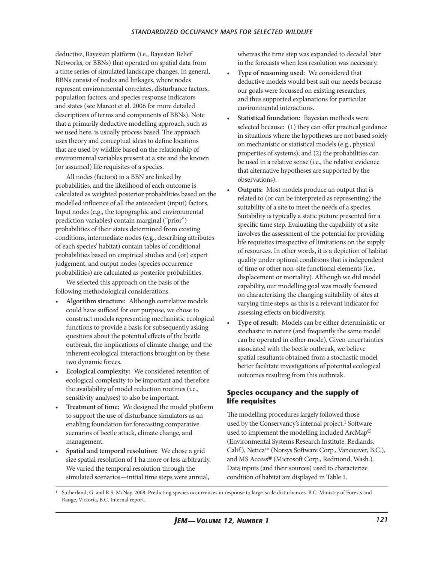deductive, Bayesian platform (i.e., Bayesian Belief Networks, or BBNs) that operated on spatial data from a time series of simulated landscape changes. In general, BBNs consist of nodes and linkages, where nodes represent environmental correlates, disturbance factors, population factors, and species response indicators and states (see Marcot et al. 2006 for more detailed descriptions of terms and components of BBNs). Note that a primarily deductive modelling approach, such as we used here, is usually process based. The approach uses theory and conceptual ideas to define locations that are used by wildlife based on the relationship of environmental variables present at a site and the known (or assumed) life requisites of a species.

All nodes (factors) in a BBN are linked by probabilities, and the likelihood of each outcome is calculated as weighted posterior probabilities based on the modelled influence of all the antecedent (input) factors. Input nodes (e.g., the topographic and environmental prediction variables) contain marginal ("prior") probabilities of their states determined from existing conditions, intermediate nodes (e.g., describing attributes of each species' habitat) contain tables of conditional probabilities based on empirical studies and (or) expert judgement, and output nodes (species occurrence probabilities) are calculated as posterior probabilities.

We selected this approach on the basis of the following methodological considerations.

- Algorithm structure: Although correlative models could have sufficed for our purpose, we chose to construct models representing mechanistic ecological functions to provide a basis for subsequently asking questions about the potential effects of the beetle outbreak, the implications of climate change, and the inherent ecological interactions brought on by these two dynamic forces.
- **Ecological complexity:** We considered retention of ecological complexity to be important and therefore the availability of model reduction routines (i.e., sensitivity analyses) to also be important.
- Treatment of time: We designed the model platform to support the use of disturbance simulators as an enabling foundation for forecasting comparative scenarios of beetle attack, climate change, and management.
- Spatial and temporal resolution: We chose a grid size spatial resolution of 1 ha more or less arbitrarily. We varied the temporal resolution through the simulated scenarios—initial time steps were annual,

whereas the time step was expanded to decadal later in the forecasts when less resolution was necessary.

- **Type of reasoning used:** We considered that deductive models would best suit our needs because our goals were focussed on existing researches, and thus supported explanations for particular environmental interactions.
- **Statistical foundation:** Bayesian methods were selected because: (1) they can offer practical guidance in situations where the hypotheses are not based solely on mechanistic or statistical models (e.g., physical properties of systems); and (2) the probabilities can be used in a relative sense (i.e., the relative evidence that alternative hypotheses are supported by the observations).
- **Outputs:** Most models produce an output that is related to (or can be interpreted as representing) the suitability of a site to meet the needs of a species. Suitability is typically a static picture presented for a specific time step. Evaluating the capability of a site involves the assessment of the potential for providing life requisites irrespective of limitations on the supply of resources. In other words, it is a depiction of habitat quality under optimal conditions that is independent of time or other non-site functional elements (i.e., displacement or mortality). Although we did model capability, our modelling goal was mostly focussed on characterizing the changing suitability of sites at varying time steps, as this is a relevant indicator for assessing effects on biodiversity.
- Type of result: Models can be either deterministic or stochastic in nature (and frequently the same model can be operated in either mode). Given uncertainties associated with the beetle outbreak, we believe spatial resultants obtained from a stochastic model better facilitate investigations of potential ecological outcomes resulting from this outbreak.

#### **Species occupancy and the supply of life requisites**

The modelling procedures largely followed those used by the Conservancy's internal project.<sup>1</sup> Software used to implement the modelling included ArcMap® (Environmental Systems Research Institute, Redlands, Calif.), Netica™ (Norsys Software Corp., Vancouver, B.C.), and MS Access® (Microsoft Corp., Redmond, Wash.). Data inputs (and their sources) used to characterize condition of habitat are displayed in Table 1.

<sup>1</sup> Sutherland, G. and R.S. McNay. 2008. Predicting species occurrences in response to large-scale disturbances. B.C. Ministry of Forests and Range, Victoria, B.C. Internal report.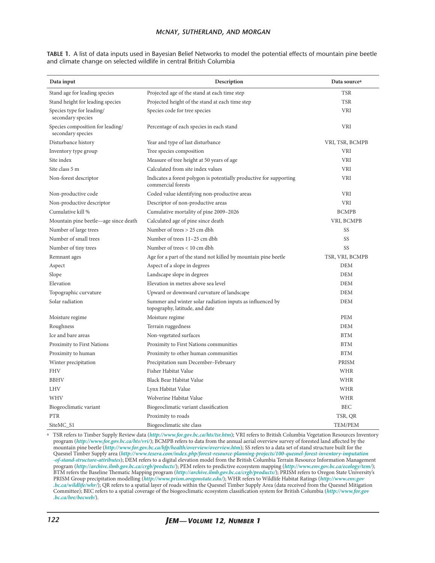#### *mcnay, sutherland, and morgan*

|  | TABLE 1. A list of data inputs used in Bayesian Belief Networks to model the potential effects of mountain pine beetle |  |  |  |  |
|--|------------------------------------------------------------------------------------------------------------------------|--|--|--|--|
|  | and climate change on selected wildlife in central British Columbia                                                    |  |  |  |  |

| Data input                                            | Description                                                                                 | Data source <sup>a</sup> |  |  |  |  |
|-------------------------------------------------------|---------------------------------------------------------------------------------------------|--------------------------|--|--|--|--|
| Stand age for leading species                         | Projected age of the stand at each time step                                                | <b>TSR</b>               |  |  |  |  |
| Stand height for leading species                      | Projected height of the stand at each time step                                             | TSR                      |  |  |  |  |
| Species type for leading/<br>secondary species        | Species code for tree species                                                               | <b>VRI</b>               |  |  |  |  |
| Species composition for leading/<br>secondary species | Percentage of each species in each stand                                                    | <b>VRI</b>               |  |  |  |  |
| Disturbance history                                   | Year and type of last disturbance                                                           | VRI, TSR, BCMPB          |  |  |  |  |
| Inventory type group                                  | Tree species composition                                                                    | <b>VRI</b>               |  |  |  |  |
| Site index                                            | Measure of tree height at 50 years of age                                                   | <b>VRI</b>               |  |  |  |  |
| Site class 5 m                                        | Calculated from site index values                                                           | <b>VRI</b>               |  |  |  |  |
| Non-forest descriptor                                 | Indicates a forest polygon is potentially productive for supporting<br>commercial forests   | <b>VRI</b>               |  |  |  |  |
| Non-productive code                                   | Coded value identifying non-productive areas                                                | <b>VRI</b>               |  |  |  |  |
| Non-productive descriptor                             | Descriptor of non-productive areas                                                          | <b>VRI</b>               |  |  |  |  |
| Cumulative kill %                                     | Cumulative mortality of pine 2009-2026                                                      | <b>BCMPB</b>             |  |  |  |  |
| Mountain pine beetle—age since death                  | Calculated age of pine since death                                                          | VRI, BCMPB               |  |  |  |  |
| Number of large trees                                 | Number of trees > 25 cm dbh                                                                 | SS                       |  |  |  |  |
| Number of small trees                                 | Number of trees 11–25 cm dbh                                                                | SS                       |  |  |  |  |
| Number of tiny trees                                  | Number of trees < 10 cm dbh                                                                 | SS                       |  |  |  |  |
| Remnant ages                                          | Age for a part of the stand not killed by mountain pine beetle                              | TSR, VRI, BCMPB          |  |  |  |  |
| Aspect                                                | Aspect of a slope in degrees                                                                | <b>DEM</b>               |  |  |  |  |
| Slope                                                 | Landscape slope in degrees                                                                  | <b>DEM</b>               |  |  |  |  |
| Elevation                                             | Elevation in metres above sea level                                                         | <b>DEM</b>               |  |  |  |  |
| Topographic curvature                                 | Upward or downward curvature of landscape                                                   | <b>DEM</b>               |  |  |  |  |
| Solar radiation                                       | Summer and winter solar radiation inputs as influenced by<br>topography, latitude, and date | <b>DEM</b>               |  |  |  |  |
| Moisture regime                                       | Moisture regime                                                                             | <b>PEM</b>               |  |  |  |  |
| Roughness                                             | Terrain ruggedness                                                                          | <b>DEM</b>               |  |  |  |  |
| Ice and bare areas                                    | Non-vegetated surfaces                                                                      | <b>BTM</b>               |  |  |  |  |
| Proximity to First Nations                            | Proximity to First Nations communities                                                      | <b>BTM</b>               |  |  |  |  |
| Proximity to human                                    | Proximity to other human communities                                                        | <b>BTM</b>               |  |  |  |  |
| Winter precipitation                                  | Precipitation sum December-February                                                         | <b>PRISM</b>             |  |  |  |  |
| <b>FHV</b>                                            | Fisher Habitat Value                                                                        | <b>WHR</b>               |  |  |  |  |
| <b>BBHV</b>                                           | Black Bear Habitat Value                                                                    | <b>WHR</b>               |  |  |  |  |
| <b>LHV</b>                                            | Lynx Habitat Value                                                                          | <b>WHR</b>               |  |  |  |  |
| <b>WHV</b>                                            | Wolverine Habitat Value                                                                     | WHR                      |  |  |  |  |
| Biogeoclimatic variant                                | Biogeoclimatic variant classification                                                       | <b>BEC</b>               |  |  |  |  |
| <b>PTR</b>                                            | Proximity to roads                                                                          | TSR, QR                  |  |  |  |  |
| SiteMC_S1                                             | Biogeoclimatic site class                                                                   | TEM/PEM                  |  |  |  |  |

a TSR refers to Timber Supply Review data (*<http://www.for.gov.bc.ca/hts/tsr.htm>*); VRI refers to British Columbia Vegetation Resources Inventory program (*<http://www.for.gov.bc.ca/hts/vri/>*); BCMPB refers to data from the annual aerial overview survey of forested land affected by the mountain pine beetle (*<http://www.for.gov.bc.ca/hfp/health/overview/overview.htm>*); SS refers to a data set of stand structure built for the Quesnel Timber Supply area (*[http://www.tesera.com/index.php/forest-resource-planning-projects/100-quesnel-forest-inventory-imputation](http://www.tesera.com/index.php/forest-resource-planning-projects/100-quesnel-forest-inventory-imputation-of-stand-structure-attributes) [-of-stand-structure-attributes](http://www.tesera.com/index.php/forest-resource-planning-projects/100-quesnel-forest-inventory-imputation-of-stand-structure-attributes)*); DEM refers to a digital elevation model from the British Columbia Terrain Resource Information Management program (*<http://archive.ilmb.gov.bc.ca/crgb/products/>*); PEM refers to predictive ecosystem mapping (*<http://www.env.gov.bc.ca/ecology/tem/>*); BTM refers the Baseline Thematic Mapping program (*<http://archive.ilmb.gov.bc.ca/crgb/products/>*); PRISM refers to Oregon State University's PRISM Group precipitation modelling (*<http://www.prism.oregonstate.edu/>*); WHR refers to Wildlife Habitat Ratings (*[http://www.env.gov](http://www.env.gov.bc.ca/wildlife/whr/) [.bc.ca/wildlife/whr/](http://www.env.gov.bc.ca/wildlife/whr/)*); QR refers to a spatial layer of roads within the Quesnel Timber Supply Area (data received from the Quesnel Mitigation Committee); BEC refers to a spatial coverage of the biogeoclimatic ecosystem classification system for British Columbia (*[http://www.for.gov](http://www.for.gov.bc.ca/hre/becweb/) [.bc.ca/hre/becweb/](http://www.for.gov.bc.ca/hre/becweb/)*).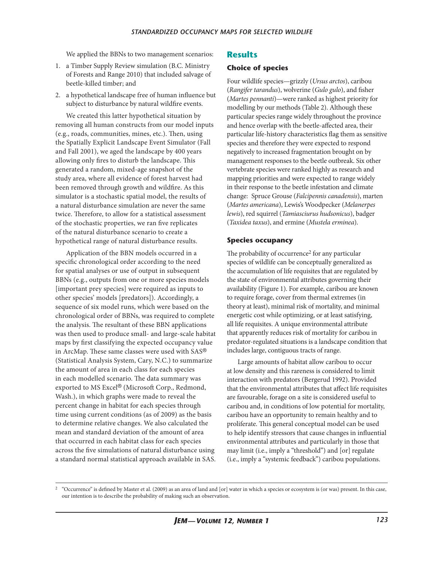We applied the BBNs to two management scenarios:

- 1. a Timber Supply Review simulation (B.C. Ministry of Forests and Range 2010) that included salvage of beetle-killed timber; and
- 2. a hypothetical landscape free of human influence but subject to disturbance by natural wildfire events.

We created this latter hypothetical situation by removing all human constructs from our model inputs (e.g., roads, communities, mines, etc.). Then, using the Spatially Explicit Landscape Event Simulator (Fall and Fall 2001), we aged the landscape by 400 years allowing only fires to disturb the landscape. This generated a random, mixed-age snapshot of the study area, where all evidence of forest harvest had been removed through growth and wildfire. As this simulator is a stochastic spatial model, the results of a natural disturbance simulation are never the same twice. Therefore, to allow for a statistical assessment of the stochastic properties, we ran five replicates of the natural disturbance scenario to create a hypothetical range of natural disturbance results.

Application of the BBN models occurred in a specific chronological order according to the need for spatial analyses or use of output in subsequent BBNs (e.g., outputs from one or more species models [important prey species] were required as inputs to other species' models [predators]). Accordingly, a sequence of six model runs, which were based on the chronological order of BBNs, was required to complete the analysis. The resultant of these BBN applications was then used to produce small- and large-scale habitat maps by first classifying the expected occupancy value in ArcMap. These same classes were used with SAS® (Statistical Analysis System, Cary, N.C.) to summarize the amount of area in each class for each species in each modelled scenario. The data summary was exported to MS Excel® (Microsoft Corp., Redmond, Wash.), in which graphs were made to reveal the percent change in habitat for each species through time using current conditions (as of 2009) as the basis to determine relative changes. We also calculated the mean and standard deviation of the amount of area that occurred in each habitat class for each species across the five simulations of natural disturbance using a standard normal statistical approach available in SAS.

#### **Results**

#### **Choice of species**

Four wildlife species—grizzly (*Ursus arctos*), caribou (*Rangifer tarandus*), wolverine (*Gulo gulo*), and fisher (*Martes pennanti*)—were ranked as highest priority for modelling by our methods (Table 2). Although these particular species range widely throughout the province and hence overlap with the beetle-affected area, their particular life-history characteristics flag them as sensitive species and therefore they were expected to respond negatively to increased fragmentation brought on by management responses to the beetle outbreak. Six other vertebrate species were ranked highly as research and mapping priorities and were expected to range widely in their response to the beetle infestation and climate change: Spruce Grouse (*Falcipennis canadensis*), marten (*Martes americana*), Lewis's Woodpecker (*Melanerpes lewis*), red squirrel (*Tamiasciurus hudsonicus*), badger (*Taxidea taxus*), and ermine (*Mustela erminea*).

#### **Species occupancy**

The probability of occurrence<sup>2</sup> for any particular species of wildlife can be conceptually generalized as the accumulation of life requisites that are regulated by the state of environmental attributes governing their availability (Figure 1). For example, caribou are known to require forage, cover from thermal extremes (in theory at least), minimal risk of mortality, and minimal energetic cost while optimizing, or at least satisfying, all life requisites. A unique environmental attribute that apparently reduces risk of mortality for caribou in predator-regulated situations is a landscape condition that includes large, contiguous tracts of range.

Large amounts of habitat allow caribou to occur at low density and this rareness is considered to limit interaction with predators (Bergerud 1992). Provided that the environmental attributes that affect life requisites are favourable, forage on a site is considered useful to caribou and, in conditions of low potential for mortality, caribou have an opportunity to remain healthy and to proliferate. This general conceptual model can be used to help identify stressors that cause changes in influential environmental attributes and particularly in those that may limit (i.e., imply a "threshold") and [or] regulate (i.e., imply a "systemic feedback") caribou populations.

<sup>&</sup>lt;sup>2</sup> "Occurrence" is defined by Master et al. (2009) as an area of land and [or] water in which a species or ecosystem is (or was) present. In this case, our intention is to describe the probability of making such an observation.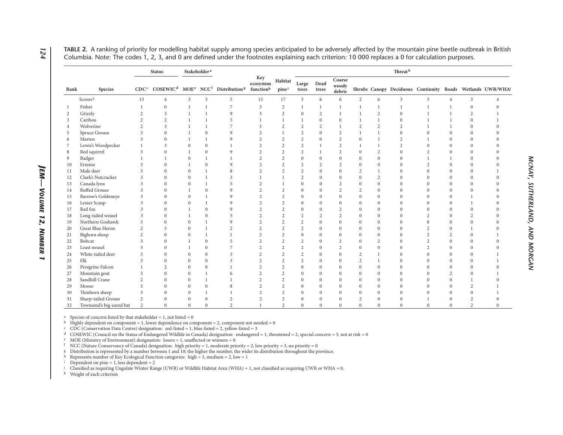|                |                          | <b>Status</b>    |                | Stakeholder <sup>a</sup> |                |                                                                                               |                  |                  | Threat <sup>b</sup> |                |                           |                |                |                |                |                |                  |                                                           |
|----------------|--------------------------|------------------|----------------|--------------------------|----------------|-----------------------------------------------------------------------------------------------|------------------|------------------|---------------------|----------------|---------------------------|----------------|----------------|----------------|----------------|----------------|------------------|-----------------------------------------------------------|
| Rank           | Species                  | CDC <sup>c</sup> |                |                          |                | $COSEWIC^d$ MOE <sup>e</sup> NCC <sup>f</sup> Distribution <sup>8</sup> function <sup>h</sup> | Key<br>ecosystem | Habitat<br>pinei | Large<br>trees      | Dead<br>trees  | Coarse<br>woody<br>debris |                |                |                |                |                |                  | Shrubs Canopy Deciduous Continuity Roads Wetlands UWR/WHA |
|                | Scores <sup>k</sup>      | 13               | $\overline{4}$ | 3                        | 3              | 5                                                                                             | 15               | 17               | 3                   | 6              | 6                         | 2              | 6              | $\mathbf{3}$   | $\mathbf{3}$   | $\overline{4}$ | 3                | $\overline{4}$                                            |
| -1             | Fisher                   |                  | $\Omega$       | 1                        |                | 7                                                                                             | 3                | $\overline{2}$   |                     |                | $\mathbf{1}$              | $\mathbf{1}$   | $\overline{1}$ | 1              |                |                | $\mathbf{0}$     | $\Omega$                                                  |
| 2              | Grizzly                  | $\overline{2}$   | 3              | 1                        |                | 9                                                                                             | 3                | $\overline{2}$   | $\bf{0}$            | 2              | 1                         | $\mathbf{1}$   | $\overline{2}$ | $\mathbf{0}$   |                |                | $\overline{2}$   |                                                           |
| 3              | Caribou                  | $\overline{c}$   | $\overline{2}$ |                          |                | 5                                                                                             |                  |                  |                     | $\theta$       | $\mathbf{0}$              |                |                | $\Omega$       |                |                | $\theta$         |                                                           |
| $\overline{4}$ | Wolverine                | $\overline{c}$   | 3              |                          |                | 7                                                                                             | 3                | $\overline{2}$   | $\overline{2}$      | $\overline{2}$ | 1                         | $\overline{2}$ | 2              | $\overline{2}$ |                |                | $\mathbf{0}$     | $\Omega$                                                  |
| -5             | Spruce Grouse            | 3                | $\Omega$       |                          | $\theta$       | 9                                                                                             | 2                |                  | $\overline{2}$      | $\theta$       | $\overline{2}$            |                |                | $\Omega$       | $\Omega$       | $\Omega$       | $\mathbf{0}$     | $\Omega$                                                  |
| 6              | Marten                   | 3                | $\Omega$       | $\mathbf{1}$             |                | 9                                                                                             | $\overline{2}$   | $\overline{2}$   | $\overline{2}$      | $\theta$       | $\overline{2}$            | $\mathbf{0}$   |                | 2              |                | $\Omega$       | $\mathbf{0}$     | $\Omega$                                                  |
| 7              | Lewis's Woodpecker       |                  | 3              | $\overline{0}$           | $\mathbf{0}$   |                                                                                               | $\overline{2}$   | $\overline{2}$   | $\overline{2}$      |                | $\overline{2}$            | $\mathbf{1}$   |                | $\overline{c}$ | $\theta$       | $\Omega$       | $\mathbf{0}$     | $\Omega$                                                  |
| 8              | Red squirrel             | 3                | $\Omega$       | 1                        | $\mathbf{0}$   | 9                                                                                             | $\overline{2}$   | $\overline{2}$   | $\overline{2}$      |                | $\overline{2}$            | $\mathbf{0}$   | $\overline{2}$ | $\Omega$       | $\overline{c}$ | $\Omega$       | $\boldsymbol{0}$ | $\Omega$                                                  |
| 9              | Badger                   |                  |                | $\overline{0}$           |                | 1                                                                                             | $\overline{c}$   | $\overline{2}$   | $\mathbf{0}$        | $\theta$       | $\mathbf{0}$              | $\theta$       | $\mathbf{0}$   | $\Omega$       |                |                | $\mathbf{0}$     | $\Omega$                                                  |
| 10             | Ermine                   | 3                | $\Omega$       | 1                        | $\mathbf{0}$   | 9                                                                                             | $\overline{2}$   | $\overline{2}$   | $\overline{2}$      | $\overline{2}$ | $\overline{2}$            | $\mathbf{0}$   | $\mathbf{0}$   | $\Omega$       | $\overline{2}$ | $\Omega$       | $\mathbf{0}$     | $\Omega$                                                  |
| 11             | Mule deer                | 3                | $\Omega$       | $\theta$                 |                | 8                                                                                             | $\overline{2}$   | $\overline{2}$   | $\overline{2}$      | $\mathbf{0}$   | $\mathbf{0}$              | $\overline{2}$ | $\overline{1}$ | $\Omega$       | $\Omega$       | $\Omega$       | $\Omega$         |                                                           |
| 12             | Clark's Nutcracker       | 3                | $\Omega$       | $\theta$                 |                | 3                                                                                             |                  |                  | $\overline{2}$      | $\theta$       | $\Omega$                  | $\Omega$       | 2              | $\Omega$       | $\Omega$       | $\Omega$       | $\mathbf{0}$     | $\Omega$                                                  |
| 13             | Canada lynx              | 3                | $\Omega$       | $\overline{0}$           |                | 5                                                                                             | $\overline{2}$   |                  | $\mathbf{0}$        | $\theta$       | $\overline{2}$            | $\Omega$       | $\mathbf{0}$   | $\mathbf{0}$   | $\Omega$       | $\Omega$       | $\mathbf{0}$     | $\Omega$                                                  |
| 14             | Ruffed Grouse            | 3                | $\Omega$       |                          | $\mathbf{0}$   | 9                                                                                             | $\overline{2}$   | $\overline{2}$   | $\mathbf{0}$        | $\theta$       | $\overline{2}$            | $\overline{2}$ | $\mathbf{0}$   | $\Omega$       | $\Omega$       | $\Omega$       | $\mathbf{0}$     | $\Omega$                                                  |
| 15             | Barrow's Goldeneye       | 3                | $\Omega$       | $\Omega$                 |                | 9                                                                                             | $\overline{c}$   | $\overline{2}$   | $\mathbf{0}$        | $\theta$       | $\mathbf{0}$              | $\Omega$       | $\Omega$       | $\Omega$       | $\Omega$       | $\Omega$       | $\mathbf{1}$     | $\Omega$                                                  |
| 16             | Lesser Scaup             | 3                | $\Omega$       | $\overline{0}$           | $\mathbf{1}$   | 9                                                                                             | $\overline{2}$   | $\overline{2}$   | $\mathbf{0}$        | $\Omega$       | $\mathbf{0}$              | $\Omega$       | $\mathbf{0}$   | $\Omega$       | $\Omega$       | $\Omega$       | $\mathbf{1}$     | $\Omega$                                                  |
| 17             | Red fox                  | 3                | $\Omega$       | 1                        | $\theta$       | $\mathbf Q$                                                                                   | $\overline{c}$   | $\overline{2}$   | $\mathbf{0}$        | $\Omega$       | $\overline{2}$            | $\theta$       | $\mathbf{0}$   | $\Omega$       | $\Omega$       | $\Omega$       | $\theta$         | $\Omega$                                                  |
| 18             | Long-tailed weasel       | 3                | $\Omega$       | 1                        | $\theta$       | 5                                                                                             | $\overline{c}$   | $\overline{c}$   | $\overline{c}$      | $\overline{c}$ | $\overline{2}$            | $\Omega$       | $\overline{0}$ | $\theta$       | $\overline{2}$ | $\Omega$       | $\overline{c}$   | $\Omega$                                                  |
| 19             | Northern Goshawk         | 3                | $\Omega$       | $\theta$                 |                | 9                                                                                             | $\overline{c}$   | $\overline{2}$   | $\overline{2}$      | $\theta$       | $\boldsymbol{0}$          | $\Omega$       | $\mathbf{0}$   | $\theta$       | $\Omega$       | $\Omega$       | $\boldsymbol{0}$ | $\Omega$                                                  |
| 20             | Great Blue Heron         | $\overline{c}$   | 3              | $\theta$                 |                | $\overline{c}$                                                                                | $\overline{c}$   | $\overline{2}$   | $\overline{2}$      | $\theta$       | $\boldsymbol{0}$          | $\theta$       | $\mathbf{0}$   | $\theta$       | $\overline{c}$ | $\Omega$       | 1                | $\Omega$                                                  |
| 21             | Bighorn sheep            | $\overline{2}$   | $\Omega$       | $\mathbf{0}$             |                |                                                                                               | $\overline{2}$   | $\overline{2}$   | $\mathbf{0}$        | $\mathbf{0}$   | $\mathbf{0}$              | $\mathbf{0}$   | $\mathbf{0}$   | $\Omega$       | $\overline{2}$ | $\overline{2}$ | $\mathbf{0}$     |                                                           |
| 22             | Bobcat                   | 3                | $\Omega$       |                          | $\theta$       | 5                                                                                             | $\overline{2}$   | $\overline{2}$   | $\overline{2}$      | $\theta$       | $\overline{2}$            | $\Omega$       | 2              | $\Omega$       | $\overline{2}$ | $\theta$       | $\mathbf{0}$     | $\Omega$                                                  |
| 23             | Least weasel             | 3                | $\Omega$       |                          | $\theta$       | 7                                                                                             | $\overline{2}$   | $\overline{2}$   | $\overline{2}$      | $\theta$       | $\overline{2}$            | $\mathbf{0}$   | $\mathbf{0}$   | $\Omega$       | $\overline{c}$ | $\Omega$       | $\mathbf{0}$     | $\Omega$                                                  |
| 24             | White-tailed deer        | 3                | $\theta$       | $\mathbf{0}$             | $\mathbf{0}$   | 3                                                                                             | $\overline{2}$   | $\overline{2}$   | $\overline{2}$      | $\mathbf{0}$   | $\mathbf{0}$              | $\overline{2}$ | $\overline{1}$ | $\overline{0}$ | $\Omega$       | $\theta$       | $\mathbf{0}$     |                                                           |
| 25             | Elk                      | 3                | $\Omega$       | $\theta$                 | $\overline{0}$ | 3                                                                                             | $\overline{2}$   | $\overline{2}$   | $\overline{2}$      | $\mathbf{0}$   | $\boldsymbol{0}$          | $\overline{2}$ | $\overline{1}$ | $\Omega$       | $\Omega$       | $\theta$       | $\mathbf{0}$     |                                                           |
| 26             | Peregrine Falcon         |                  | $\overline{c}$ | $\theta$                 | $\theta$       | 1                                                                                             | $\overline{c}$   | $\overline{2}$   | $\mathbf{0}$        | $\theta$       | $\mathbf{0}$              | $\theta$       | $\mathbf{0}$   | $\Omega$       | $\Omega$       | $\Omega$       | $\mathbf{0}$     | $\theta$                                                  |
| 27             | Mountain goat            | 3                | $\Omega$       | $\overline{0}$           | $\mathbf{1}$   | 6                                                                                             | $\overline{2}$   | $\overline{2}$   | $\mathbf{0}$        | $\theta$       | $\mathbf{0}$              | $\mathbf{0}$   | $\mathbf{0}$   | $\Omega$       | $\Omega$       | $\overline{2}$ | $\mathbf{0}$     |                                                           |
| 28             | Sandhill Crane           | 2                | $\theta$       | $\overline{0}$           |                |                                                                                               | $\overline{2}$   | $\overline{2}$   | $\mathbf{0}$        | $\theta$       | 0                         | $\Omega$       | $\mathbf{0}$   | $\Omega$       |                | $\Omega$       | 1                | $\theta$                                                  |
| 29             | Moose                    | 3                | $\theta$       | $\overline{0}$           | $\mathbf{0}$   | 8                                                                                             | $\overline{2}$   | $\overline{2}$   | $\mathbf{0}$        | $\theta$       | $\mathbf{0}$              | $\Omega$       | $\mathbf{0}$   | $\Omega$       |                | $\Omega$       | $\overline{2}$   |                                                           |
| 30             | Thinhorn sheep           | 3                | $\Omega$       | $\overline{0}$           |                |                                                                                               | $\overline{2}$   | $\overline{2}$   | $\mathbf{0}$        | $\mathbf{0}$   | $\mathbf{0}$              | $\mathbf{0}$   | $\mathbf{0}$   | $\theta$       | $\Omega$       | $\theta$       | $\theta$         |                                                           |
| 31             | Sharp-tailed Grouse      | $\overline{2}$   | $\theta$       | $\mathbf{0}$             | $\theta$       | $\overline{2}$                                                                                | $\overline{2}$   | $\overline{2}$   | $\mathbf{0}$        | $\theta$       | $\boldsymbol{0}$          | $\mathbf{2}$   | $\mathbf{0}$   | $\theta$       |                | $\theta$       | $\overline{2}$   | $\theta$                                                  |
| 32             | Townsend's big-eared bat | $\overline{2}$   | $\Omega$       | $\overline{0}$           | $\theta$       | $\overline{c}$                                                                                |                  | 2                | $\theta$            | $\Omega$       | $\mathbf{0}$              | $\Omega$       | $\mathbf{0}$   | $\theta$       | $\Omega$       | $\mathbf{0}$   | $\overline{2}$   | $\theta$                                                  |

**table 2.** A ranking of priority for modelling habitat supply among species anticipated to be adversely affected by the mountain pine beetle outbreak in British Columbia. Note: The codes 1, 2, 3, and 0 are defined under the footnotes explaining each criterion: 10 000 replaces a 0 for calculation purposes.

<sup>a</sup> Species of concern listed by that stakeholder = 1, not listed = 0

 $b$  Highly dependent on component = 1, lower dependence on component = 2, component not needed = 0

 $\circ$  CDC (Conservation Data Centre) designation: red-listed = 1, blue-listed = 2, yellow-listed = 3

<sup>d</sup> COSEWIC (Council on the Status of Endangered Wildlife in Canada) designation: endangered = 1, threatened = 2, special concern = 3, not at risk = 0

<sup>e</sup> MOE (Ministry of Environment) designation: losers = 1, unaffected or winners = 0

 $f$  NCC (Nature Conservancy of Canada) designation: high priority = 1, moderate priority = 2, low priority = 3, no priority = 0

<sup>g</sup> Distribution is represented by a number between 1 and 10; the higher the number, the wider its distribution throughout the province.

<sup>h</sup> Represents number of Key Ecological Function categories: high = 3, medium = 2, low = 1

 $i$  Dependent on pine = 1, less dependent = 2

<sup>j</sup> Classified as requiring Ungulate Winter Range (UWR) or Wildlife Habitat Area (WHA) = 1, not classified as requiring UWR or WHA = 0.

k Weight of each criterion

*JEM —*

*Volume 12, N*

*um b e r 1*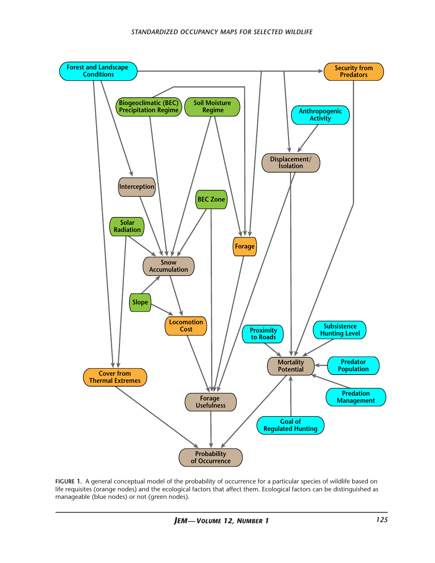

**figure 1.** A general conceptual model of the probability of occurrence for a particular species of wildlife based on life requisites (orange nodes) and the ecological factors that affect them. Ecological factors can be distinguished as manageable (blue nodes) or not (green nodes).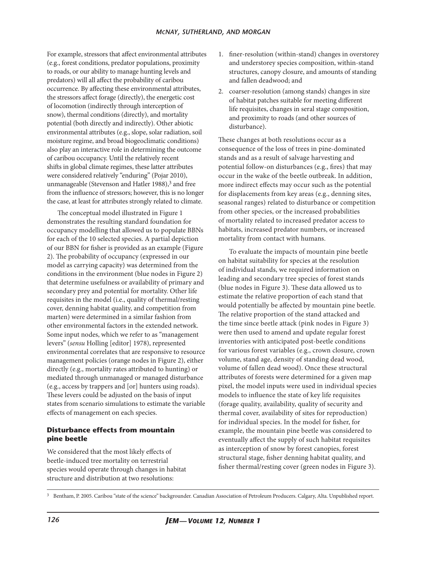For example, stressors that affect environmental attributes (e.g., forest conditions, predator populations, proximity to roads, or our ability to manage hunting levels and predators) will all affect the probability of caribou occurrence. By affecting these environmental attributes, the stressors affect forage (directly), the energetic cost of locomotion (indirectly through interception of snow), thermal conditions (directly), and mortality potential (both directly and indirectly). Other abiotic environmental attributes (e.g., slope, solar radiation, soil moisture regime, and broad biogeoclimatic conditions) also play an interactive role in determining the outcome of caribou occupancy. Until the relatively recent shifts in global climate regimes, these latter attributes were considered relatively "enduring" (Pojar 2010), unmanageable (Stevenson and Hatler 1988),<sup>3</sup> and free from the influence of stressors; however, this is no longer the case, at least for attributes strongly related to climate.

The conceptual model illustrated in Figure 1 demonstrates the resulting standard foundation for occupancy modelling that allowed us to populate BBNs for each of the 10 selected species. A partial depiction of our BBN for fisher is provided as an example (Figure 2). The probability of occupancy (expressed in our model as carrying capacity) was determined from the conditions in the environment (blue nodes in Figure 2) that determine usefulness or availability of primary and secondary prey and potential for mortality. Other life requisites in the model (i.e., quality of thermal/resting cover, denning habitat quality, and competition from marten) were determined in a similar fashion from other environmental factors in the extended network. Some input nodes, which we refer to as "management levers" (*sensu* Holling [editor] 1978), represented environmental correlates that are responsive to resource management policies (orange nodes in Figure 2), either directly (e.g., mortality rates attributed to hunting) or mediated through unmanaged or managed disturbance (e.g., access by trappers and [or] hunters using roads). These levers could be adjusted on the basis of input states from scenario simulations to estimate the variable effects of management on each species.

#### **Disturbance effects from mountain pine beetle**

We considered that the most likely effects of beetle-induced tree mortality on terrestrial species would operate through changes in habitat structure and distribution at two resolutions:

- 1. finer-resolution (within-stand) changes in overstorey and understorey species composition, within-stand structures, canopy closure, and amounts of standing and fallen deadwood; and
- 2. coarser-resolution (among stands) changes in size of habitat patches suitable for meeting different life requisites, changes in seral stage composition, and proximity to roads (and other sources of disturbance).

These changes at both resolutions occur as a consequence of the loss of trees in pine-dominated stands and as a result of salvage harvesting and potential follow-on disturbances (e.g., fires) that may occur in the wake of the beetle outbreak. In addition, more indirect effects may occur such as the potential for displacements from key areas (e.g., denning sites, seasonal ranges) related to disturbance or competition from other species, or the increased probabilities of mortality related to increased predator access to habitats, increased predator numbers, or increased mortality from contact with humans.

To evaluate the impacts of mountain pine beetle on habitat suitability for species at the resolution of individual stands, we required information on leading and secondary tree species of forest stands (blue nodes in Figure 3). These data allowed us to estimate the relative proportion of each stand that would potentially be affected by mountain pine beetle. The relative proportion of the stand attacked and the time since beetle attack (pink nodes in Figure 3) were then used to amend and update regular forest inventories with anticipated post-beetle conditions for various forest variables (e.g., crown closure, crown volume, stand age, density of standing dead wood, volume of fallen dead wood). Once these structural attributes of forests were determined for a given map pixel, the model inputs were used in individual species models to influence the state of key life requisites (forage quality, availability, quality of security and thermal cover, availability of sites for reproduction) for individual species. In the model for fisher, for example, the mountain pine beetle was considered to eventually affect the supply of such habitat requisites as interception of snow by forest canopies, forest structural stage, fisher denning habitat quality, and fisher thermal/resting cover (green nodes in Figure 3).

<sup>&</sup>lt;sup>3</sup> Bentham, P. 2005. Caribou "state of the science" backgrounder. Canadian Association of Petroleum Producers. Calgary, Alta. Unpublished report.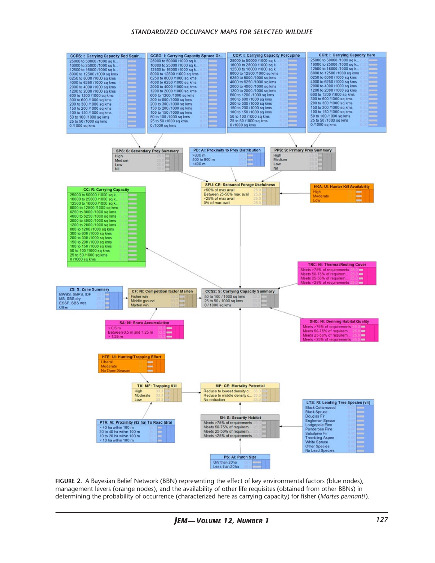#### *standardized occupancy maps for selected wildlife*



**figure 2.** A Bayesian Belief Network (BBN) representing the effect of key environmental factors (blue nodes), management levers (orange nodes), and the availability of other life requisites (obtained from other BBNs) in determining the probability of occurrence (characterized here as carrying capacity) for fisher (*Martes pennanti*).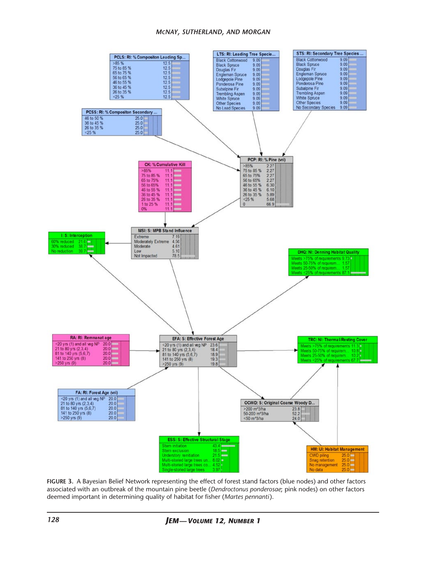#### *mcnay, sutherland, and morgan*



**figure 3.** A Bayesian Belief Network representing the effect of forest stand factors (blue nodes) and other factors associated with an outbreak of the mountain pine beetle (*Dendroctonus ponderosae*; pink nodes) on other factors deemed important in determining quality of habitat for fisher (*Martes pennanti*).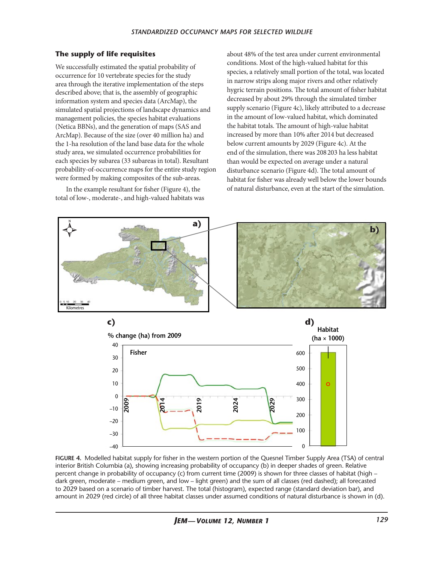#### **The supply of life requisites**

We successfully estimated the spatial probability of occurrence for 10 vertebrate species for the study area through the iterative implementation of the steps described above; that is, the assembly of geographic information system and species data (ArcMap), the simulated spatial projections of landscape dynamics and management policies, the species habitat evaluations (Netica BBNs), and the generation of maps (SAS and ArcMap). Because of the size (over 40 million ha) and the 1-ha resolution of the land base data for the whole study area, we simulated occurrence probabilities for each species by subarea (33 subareas in total). Resultant probability-of-occurrence maps for the entire study region were formed by making composites of the sub-areas.

In the example resultant for fisher (Figure 4), the total of low-, moderate-, and high-valued habitats was

about 48% of the test area under current environmental conditions. Most of the high-valued habitat for this species, a relatively small portion of the total, was located in narrow strips along major rivers and other relatively hygric terrain positions. The total amount of fisher habitat decreased by about 29% through the simulated timber supply scenario (Figure 4c), likely attributed to a decrease in the amount of low-valued habitat, which dominated the habitat totals. The amount of high-value habitat increased by more than 10% after 2014 but decreased below current amounts by 2029 (Figure 4c). At the end of the simulation, there was 208203 ha less habitat than would be expected on average under a natural disturbance scenario (Figure 4d). The total amount of habitat for fisher was already well below the lower bounds of natural disturbance, even at the start of the simulation.



**figure 4.** Modelled habitat supply for fisher in the western portion of the Quesnel Timber Supply Area (TSA) of central interior British Columbia (a), showing increasing probability of occupancy (b) in deeper shades of green. Relative percent change in probability of occupancy (c) from current time (2009) is shown for three classes of habitat (high – dark green, moderate – medium green, and low – light green) and the sum of all classes (red dashed); all forecasted to 2029 based on a scenario of timber harvest. The total (histogram), expected range (standard deviation bar), and amount in 2029 (red circle) of all three habitat classes under assumed conditions of natural disturbance is shown in (d).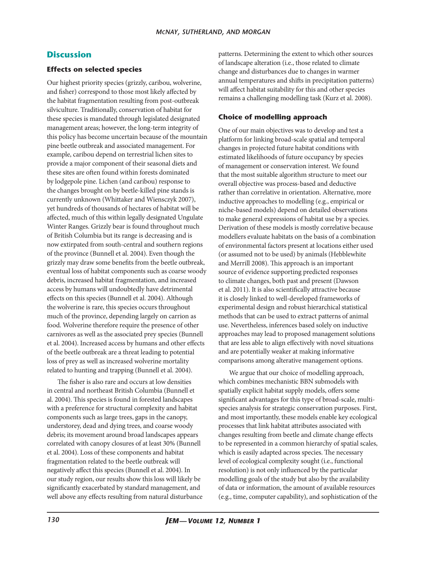# **Discussion**

#### **Effects on selected species**

Our highest priority species (grizzly, caribou, wolverine, and fisher) correspond to those most likely affected by the habitat fragmentation resulting from post-outbreak silviculture. Traditionally, conservation of habitat for these species is mandated through legislated designated management areas; however, the long-term integrity of this policy has become uncertain because of the mountain pine beetle outbreak and associated management. For example, caribou depend on terrestrial lichen sites to provide a major component of their seasonal diets and these sites are often found within forests dominated by lodgepole pine. Lichen (and caribou) response to the changes brought on by beetle-killed pine stands is currently unknown (Whittaker and Wiensczyk 2007), yet hundreds of thousands of hectares of habitat will be affected, much of this within legally designated Ungulate Winter Ranges. Grizzly bear is found throughout much of British Columbia but its range is decreasing and is now extirpated from south-central and southern regions of the province (Bunnell et al. 2004). Even though the grizzly may draw some benefits from the beetle outbreak, eventual loss of habitat components such as coarse woody debris, increased habitat fragmentation, and increased access by humans will undoubtedly have detrimental effects on this species (Bunnell et al. 2004). Although the wolverine is rare, this species occurs throughout much of the province, depending largely on carrion as food. Wolverine therefore require the presence of other carnivores as well as the associated prey species (Bunnell et al. 2004). Increased access by humans and other effects of the beetle outbreak are a threat leading to potential loss of prey as well as increased wolverine mortality related to hunting and trapping (Bunnell et al. 2004).

The fisher is also rare and occurs at low densities in central and northeast British Columbia (Bunnell et al. 2004). This species is found in forested landscapes with a preference for structural complexity and habitat components such as large trees, gaps in the canopy, understorey, dead and dying trees, and coarse woody debris; its movement around broad landscapes appears correlated with canopy closures of at least 30% (Bunnell et al. 2004). Loss of these components and habitat fragmentation related to the beetle outbreak will negatively affect this species (Bunnell et al. 2004). In our study region, our results show this loss will likely be significantly exacerbated by standard management, and well above any effects resulting from natural disturbance

patterns. Determining the extent to which other sources of landscape alteration (i.e., those related to climate change and disturbances due to changes in warmer annual temperatures and shifts in precipitation patterns) will affect habitat suitability for this and other species remains a challenging modelling task (Kurz et al. 2008).

#### **Choice of modelling approach**

One of our main objectives was to develop and test a platform for linking broad-scale spatial and temporal changes in projected future habitat conditions with estimated likelihoods of future occupancy by species of management or conservation interest. We found that the most suitable algorithm structure to meet our overall objective was process-based and deductive rather than correlative in orientation. Alternative, more inductive approaches to modelling (e.g., empirical or niche-based models) depend on detailed observations to make general expressions of habitat use by a species. Derivation of these models is mostly correlative because modellers evaluate habitats on the basis of a combination of environmental factors present at locations either used (or assumed not to be used) by animals (Hebblewhite and Merrill 2008). This approach is an important source of evidence supporting predicted responses to climate changes, both past and present (Dawson et al. 2011). It is also scientifically attractive because it is closely linked to well-developed frameworks of experimental design and robust hierarchical statistical methods that can be used to extract patterns of animal use. Nevertheless, inferences based solely on inductive approaches may lead to proposed management solutions that are less able to align effectively with novel situations and are potentially weaker at making informative comparisons among alterative management options.

We argue that our choice of modelling approach, which combines mechanistic BBN submodels with spatially explicit habitat supply models, offers some significant advantages for this type of broad-scale, multispecies analysis for strategic conservation purposes. First, and most importantly, these models enable key ecological processes that link habitat attributes associated with changes resulting from beetle and climate change effects to be represented in a common hierarchy of spatial scales, which is easily adapted across species. The necessary level of ecological complexity sought (i.e., functional resolution) is not only influenced by the particular modelling goals of the study but also by the availability of data or information, the amount of available resources (e.g., time, computer capability), and sophistication of the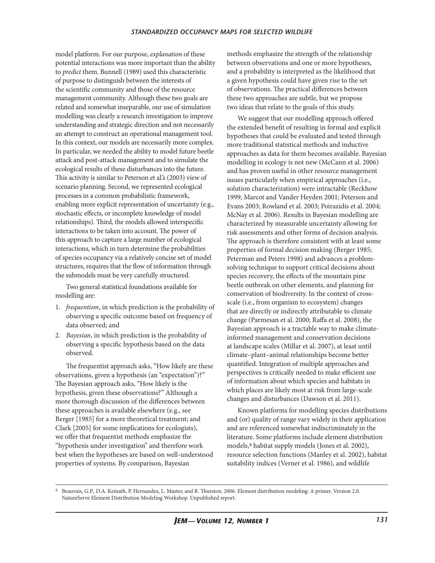model platform. For our purpose, *explanation* of these potential interactions was more important than the ability to *predict* them. Bunnell (1989) used this characteristic of purpose to distinguish between the interests of the scientific community and those of the resource management community. Although these two goals are related and somewhat inseparable, our use of simulation modelling was clearly a research investigation to improve understanding and strategic direction and not necessarily an attempt to construct an operational management tool. In this context, our models are necessarily more complex. In particular, we needed the ability to model future beetle attack and post-attack management and to simulate the ecological results of these disturbances into the future. This activity is similar to Peterson et al.'s (2003) view of scenario planning. Second, we represented ecological processes in a common probabilistic framework, enabling more explicit representation of uncertainty (e.g., stochastic effects, or incomplete knowledge of model relationships). Third, the models allowed interspecific interactions to be taken into account. The power of this approach to capture a large number of ecological interactions, which in turn determine the probabilities of species occupancy via a relatively concise set of model structures, requires that the flow of information through the submodels must be very carefully structured.

Two general statistical foundations available for modelling are:

- 1. *frequentism*, in which prediction is the probability of observing a specific outcome based on frequency of data observed; and
- 2. *Bayesian*, in which prediction is the probability of observing a specific hypothesis based on the data observed.

The frequentist approach asks, "How likely are these observations, given a hypothesis (an "expectation")?" The Bayesian approach asks, "How likely is the hypothesis, given these observations?" Although a more thorough discussion of the differences between these approaches is available elsewhere (e.g., see Berger [1985] for a more theoretical treatment; and Clark [2005] for some implications for ecologists), we offer that frequentist methods emphasize the "hypothesis under investigation" and therefore work best when the hypotheses are based on well-understood properties of systems. By comparison, Bayesian

methods emphasize the strength of the relationship between observations and one or more hypotheses, and a probability is interpreted as the likelihood that a given hypothesis could have given rise to the set of observations. The practical differences between these two approaches are subtle, but we propose two ideas that relate to the goals of this study.

We suggest that our modelling approach offered the extended benefit of resulting in formal and explicit hypotheses that could be evaluated and tested through more traditional statistical methods and inductive approaches as data for them becomes available. Bayesian modelling in ecology is not new (McCann et al. 2006) and has proven useful in other resource management issues particularly when empirical approaches (i.e., solution characterization) were intractable (Reckhow 1999; Marcot and Vander Heyden 2001; Peterson and Evans 2003; Rowland et al. 2003; Poirazidis et al. 2004; McNay et al. 2006). Results in Bayesian modelling are characterized by measurable uncertainty allowing for risk assessments and other forms of decision analysis. The approach is therefore consistent with at least some properties of formal decision making (Berger 1985; Peterman and Peters 1998) and advances a problemsolving technique to support critical decisions about species recovery, the effects of the mountain pine beetle outbreak on other elements, and planning for conservation of biodiversity. In the context of crossscale (i.e., from organism to ecosystem) changes that are directly or indirectly attributable to climate change (Parmesan et al. 2000; Raffa et al. 2008), the Bayesian approach is a tractable way to make climateinformed management and conservation decisions at landscape scales (Millar et al. 2007), at least until climate–plant–animal relationships become better quantified. Integration of multiple approaches and perspectives is critically needed to make efficient use of information about which species and habitats in which places are likely most at risk from large-scale changes and disturbances (Dawson et al. 2011).

Known platforms for modelling species distributions and (or) quality of range vary widely in their application and are referenced somewhat indiscriminately in the literature. Some platforms include element distribution models,4 habitat supply models (Jones et al. 2002), resource selection functions (Manley et al. 2002), habitat suitability indices (Verner et al. 1986), and wildlife

<sup>4</sup> Beauvais, G.P., D.A. Keinath, P. Hernandez, L. Master, and R. Thurston. 2006. Element distribution modeling: A primer. Version 2.0. NatureServe Element Distribution Modeling Workshop. Unpublished report.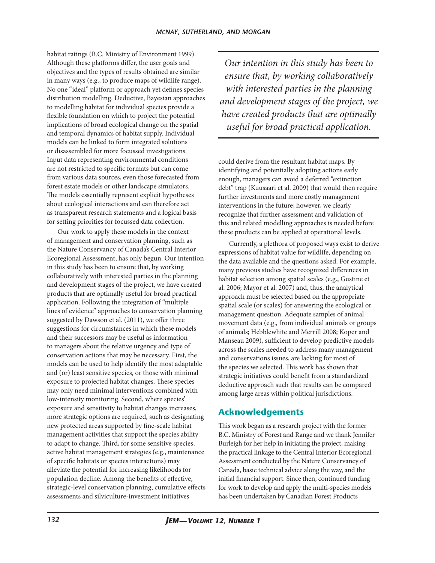habitat ratings (B.C. Ministry of Environment 1999). Although these platforms differ, the user goals and objectives and the types of results obtained are similar in many ways (e.g., to produce maps of wildlife range). No one "ideal" platform or approach yet defines species distribution modelling. Deductive, Bayesian approaches to modelling habitat for individual species provide a flexible foundation on which to project the potential implications of broad ecological change on the spatial and temporal dynamics of habitat supply. Individual models can be linked to form integrated solutions or disassembled for more focussed investigations. Input data representing environmental conditions are not restricted to specific formats but can come from various data sources, even those forecasted from forest estate models or other landscape simulators. The models essentially represent explicit hypotheses about ecological interactions and can therefore act as transparent research statements and a logical basis for setting priorities for focussed data collection.

Our work to apply these models in the context of management and conservation planning, such as the Nature Conservancy of Canada's Central Interior Ecoregional Assessment, has only begun. Our intention in this study has been to ensure that, by working collaboratively with interested parties in the planning and development stages of the project, we have created products that are optimally useful for broad practical application. Following the integration of "multiple lines of evidence" approaches to conservation planning suggested by Dawson et al. (2011), we offer three suggestions for circumstances in which these models and their successors may be useful as information to managers about the relative urgency and type of conservation actions that may be necessary. First, the models can be used to help identify the most adaptable and (or) least sensitive species, or those with minimal exposure to projected habitat changes. These species may only need minimal interventions combined with low-intensity monitoring. Second, where species' exposure and sensitivity to habitat changes increases, more strategic options are required, such as designating new protected areas supported by fine-scale habitat management activities that support the species ability to adapt to change. Third, for some sensitive species, active habitat management strategies (e.g., maintenance of specific habitats or species interactions) may alleviate the potential for increasing likelihoods for population decline. Among the benefits of effective, strategic-level conservation planning, cumulative effects assessments and silviculture-investment initiatives

*Our intention in this study has been to ensure that, by working collaboratively with interested parties in the planning and development stages of the project, we have created products that are optimally useful for broad practical application.* 

could derive from the resultant habitat maps. By identifying and potentially adopting actions early enough, managers can avoid a deferred "extinction debt" trap (Kuusaari et al. 2009) that would then require further investments and more costly management interventions in the future; however, we clearly recognize that further assessment and validation of this and related modelling approaches is needed before these products can be applied at operational levels.

Currently, a plethora of proposed ways exist to derive expressions of habitat value for wildlife, depending on the data available and the questions asked. For example, many previous studies have recognized differences in habitat selection among spatial scales (e.g., Gustine et al. 2006; Mayor et al. 2007) and, thus, the analytical approach must be selected based on the appropriate spatial scale (or scales) for answering the ecological or management question. Adequate samples of animal movement data (e.g., from individual animals or groups of animals; Hebblewhite and Merrill 2008; Koper and Manseau 2009), sufficient to develop predictive models across the scales needed to address many management and conservations issues, are lacking for most of the species we selected. This work has shown that strategic initiatives could benefit from a standardized deductive approach such that results can be compared among large areas within political jurisdictions.

# **Acknowledgements**

This work began as a research project with the former B.C. Ministry of Forest and Range and we thank Jennifer Burleigh for her help in initiating the project, making the practical linkage to the Central Interior Ecoregional Assessment conducted by the Nature Conservancy of Canada, basic technical advice along the way, and the initial financial support. Since then, continued funding for work to develop and apply the multi-species models has been undertaken by Canadian Forest Products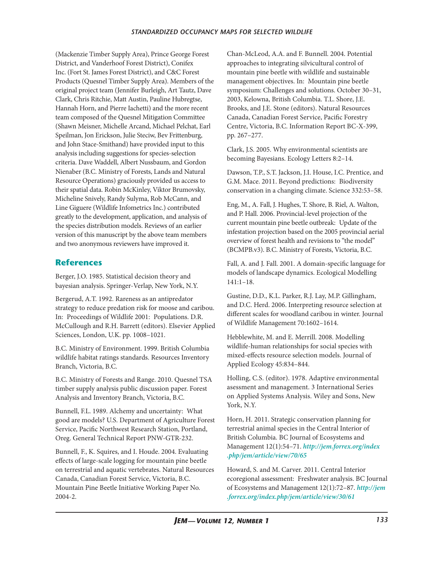(Mackenzie Timber Supply Area), Prince George Forest District, and Vanderhoof Forest District), Conifex Inc. (Fort St. James Forest District), and C&C Forest Products (Quesnel Timber Supply Area). Members of the original project team (Jennifer Burleigh, Art Tautz, Dave Clark, Chris Ritchie, Matt Austin, Pauline Hubregtse, Hannah Horn, and Pierre Iachetti) and the more recent team composed of the Quesnel Mitigation Committee (Shawn Meisner, Michelle Arcand, Michael Pelchat, Earl Speilman, Jon Erickson, Julie Steciw, Bev Frittenburg, and John Stace-Smithand) have provided input to this analysis including suggestions for species-selection criteria. Dave Waddell, Albert Nussbaum, and Gordon Nienaber (B.C. Ministry of Forests, Lands and Natural Resource Operations) graciously provided us access to their spatial data. Robin McKinley, Viktor Brumovsky, Micheline Snively, Randy Sulyma, Rob McCann, and Line Giguere (Wildlife Infometrics Inc.) contributed greatly to the development, application, and analysis of the species distribution models. Reviews of an earlier version of this manuscript by the above team members and two anonymous reviewers have improved it.

# **References**

Berger, J.O. 1985. Statistical decision theory and bayesian analysis. Springer-Verlap, New York, N.Y.

Bergerud, A.T. 1992. Rareness as an antipredator strategy to reduce predation risk for moose and caribou. In: Proceedings of Wildlife 2001: Populations. D.R. McCullough and R.H. Barrett (editors). Elsevier Applied Sciences, London, U.K. pp. 1008–1021.

B.C. Ministry of Environment. 1999. British Columbia wildlife habitat ratings standards. Resources Inventory Branch, Victoria, B.C.

B.C. Ministry of Forests and Range. 2010. Quesnel TSA timber supply analysis public discussion paper. Forest Analysis and Inventory Branch, Victoria, B.C.

Bunnell, F.L. 1989. Alchemy and uncertainty: What good are models? U.S. Department of Agriculture Forest Service, Pacific Northwest Research Station, Portland, Oreg. General Technical Report PNW-GTR-232.

Bunnell, F., K. Squires, and I. Houde. 2004. Evaluating effects of large-scale logging for mountain pine beetle on terrestrial and aquatic vertebrates. Natural Resources Canada, Canadian Forest Service, Victoria, B.C. Mountain Pine Beetle Initiative Working Paper No. 2004-2.

Chan-McLeod, A.A. and F. Bunnell. 2004. Potential approaches to integrating silvicultural control of mountain pine beetle with wildlife and sustainable management objectives. In: Mountain pine beetle symposium: Challenges and solutions. October 30–31, 2003, Kelowna, British Columbia. T.L. Shore, J.E. Brooks, and J.E. Stone (editors). Natural Resources Canada, Canadian Forest Service, Pacific Forestry Centre, Victoria, B.C. Information Report BC-X-399, pp. 267–277.

Clark, J.S. 2005. Why environmental scientists are becoming Bayesians. Ecology Letters 8:2–14.

Dawson, T.P., S.T. Jackson, J.I. House, I.C. Prentice, and G.M. Mace. 2011. Beyond predictions: Biodiversity conservation in a changing climate. Science 332:53–58.

Eng, M., A. Fall, J. Hughes, T. Shore, B. Riel, A. Walton, and P. Hall. 2006. Provincial-level projection of the current mountain pine beetle outbreak: Update of the infestation projection based on the 2005 provincial aerial overview of forest health and revisions to "the model" (BCMPB.v3). B.C. Ministry of Forests, Victoria, B.C.

Fall, A. and J. Fall. 2001. A domain-specific language for models of landscape dynamics. Ecological Modelling 141:1–18.

Gustine, D.D., K.L. Parker, R.J. Lay, M.P. Gillingham, and D.C. Herd. 2006. Interpreting resource selection at different scales for woodland caribou in winter. Journal of Wildlife Management 70:1602–1614.

Hebblewhite, M. and E. Merrill. 2008. Modelling wildlife-human relationships for social species with mixed-effects resource selection models. Journal of Applied Ecology 45:834–844.

Holling, C.S. (editor). 1978. Adaptive environmental asessment and management. 3 International Series on Applied Systems Analysis. Wiley and Sons, New York, N.Y.

Horn, H. 2011. Strategic conservation planning for terrestrial animal species in the Central Interior of British Columbia. BC Journal of Ecosystems and Management 12(1):54–71. *[http://jem.forrex.org/index](http://jem.forrex.org/index.php/jem/article/view/70/65) [.php/jem/article/view/70/65](http://jem.forrex.org/index.php/jem/article/view/70/65)*

Howard, S. and M. Carver. 2011. Central Interior ecoregional assessment: Freshwater analysis. BC Journal of Ecosystems and Management 12(1):72–87. *[http://jem](http://jem.forrex.org/index.php/jem/article/view/30/61) [.forrex.org/index.php/jem/article/view/30/61](http://jem.forrex.org/index.php/jem/article/view/30/61)*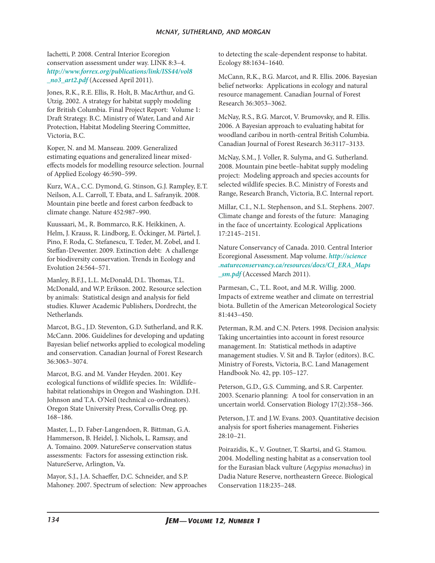Iachetti, P. 2008. Central Interior Ecoregion conservation assessment under way. LINK 8:3–4. *[http://www.forrex.org/publications/link/ISS44/vol8](http://www.forrex.org/publications/link/ISS44/vol8_no3_art2.pdf) [\\_no3\\_art2.pdf](http://www.forrex.org/publications/link/ISS44/vol8_no3_art2.pdf)* (Accessed April 2011).

Jones, R.K., R.E. Ellis, R. Holt, B. MacArthur, and G. Utzig. 2002. A strategy for habitat supply modeling for British Columbia. Final Project Report: Volume 1: Draft Strategy. B.C. Ministry of Water, Land and Air Protection, Habitat Modeling Steering Committee, Victoria, B.C.

Koper, N. and M. Manseau. 2009. Generalized estimating equations and generalized linear mixedeffects models for modelling resource selection. Journal of Applied Ecology 46:590–599.

Kurz, W.A., C.C. Dymond, G. Stinson, G.J. Rampley, E.T. Neilson, A.L. Carroll, T. Ebata, and L. Safranyik. 2008. Mountain pine beetle and forest carbon feedback to climate change. Nature 452:987–990.

Kuussaari, M., R. Bommarco, R.K. Heikkinen, A. Helm, J. Krauss, R. Lindborg, E. Őckinger, M. Pärtel, J. Pino, F. Roda, C. Stefanescu, T. Teder, M. Zobel, and I. Steffan-Dewenter. 2009. Extinction debt: A challenge for biodiversity conservation. Trends in Ecology and Evolution 24:564–571.

Manley, B.F.J., L.L. McDonald, D.L. Thomas, T.L. McDonald, and W.P. Erikson. 2002. Resource selection by animals: Statistical design and analysis for field studies. Kluwer Academic Publishers, Dordrecht, the Netherlands.

Marcot, B.G., J.D. Steventon, G.D. Sutherland, and R.K. McCann. 2006. Guidelines for developing and updating Bayesian belief networks applied to ecological modeling and conservation. Canadian Journal of Forest Research 36:3063–3074.

Marcot, B.G. and M. Vander Heyden. 2001. Key ecological functions of wildlife species. In: Wildlife– habitat relationships in Oregon and Washington. D.H. Johnson and T.A. O'Neil (technical co-ordinators). Oregon State University Press, Corvallis Oreg. pp. 168–186.

Master, L., D. Faber-Langendoen, R. Bittman, G.A. Hammerson, B. Heidel, J. Nichols, L. Ramsay, and A. Tomaino. 2009. NatureServe conservation status assessments: Factors for assessing extinction risk. NatureServe, Arlington, Va.

Mayor, S.J., J.A. Schaeffer, D.C. Schneider, and S.P. Mahoney. 2007. Spectrum of selection: New approaches

to detecting the scale-dependent response to habitat. Ecology 88:1634–1640.

McCann, R.K., B.G. Marcot, and R. Ellis. 2006. Bayesian belief networks: Applications in ecology and natural resource management. Canadian Journal of Forest Research 36:3053–3062.

McNay, R.S., B.G. Marcot, V. Brumovsky, and R. Ellis. 2006. A Bayesian approach to evaluating habitat for woodland caribou in north-central British Columbia. Canadian Journal of Forest Research 36:3117–3133.

McNay, S.M., J. Voller, R. Sulyma, and G. Sutherland. 2008. Mountain pine beetle–habitat supply modeling project: Modeling approach and species accounts for selected wildlife species. B.C. Ministry of Forests and Range, Research Branch, Victoria, B.C. Internal report.

Millar, C.I., N.L. Stephenson, and S.L. Stephens. 2007. Climate change and forests of the future: Managing in the face of uncertainty. Ecological Applications 17:2145–2151.

Nature Conservancy of Canada. 2010. Central Interior Ecoregional Assessment. Map volume. *[http://science](http://science.natureconservancy.ca/resources/docs/CI_ERA_Maps_sm.pdf) [.natureconservancy.ca/resources/docs/CI\\_ERA\\_Maps](http://science.natureconservancy.ca/resources/docs/CI_ERA_Maps_sm.pdf) [\\_sm.pdf](http://science.natureconservancy.ca/resources/docs/CI_ERA_Maps_sm.pdf)* (Accessed March 2011).

Parmesan, C., T.L. Root, and M.R. Willig. 2000. Impacts of extreme weather and climate on terrestrial biota. Bulletin of the American Meteorological Society 81:443–450.

Peterman, R.M. and C.N. Peters. 1998. Decision analysis: Taking uncertainties into account in forest resource management. In: Statistical methods in adaptive management studies. V. Sit and B. Taylor (editors). B.C. Ministry of Forests, Victoria, B.C. Land Management Handbook No. 42, pp. 105–127.

Peterson, G.D., G.S. Cumming, and S.R. Carpenter. 2003. Scenario planning: A tool for conservation in an uncertain world. Conservation Biology 17(2):358–366.

Peterson, J.T. and J.W. Evans. 2003. Quantitative decision analysis for sport fisheries management. Fisheries 28:10–21.

Poirazidis, K., V. Goutner, T. Skartsi, and G. Stamou. 2004. Modelling nesting habitat as a conservation tool for the Eurasian black vulture (*Aegypius monachus*) in Dadia Nature Reserve, northeastern Greece. Biological Conservation 118:235–248.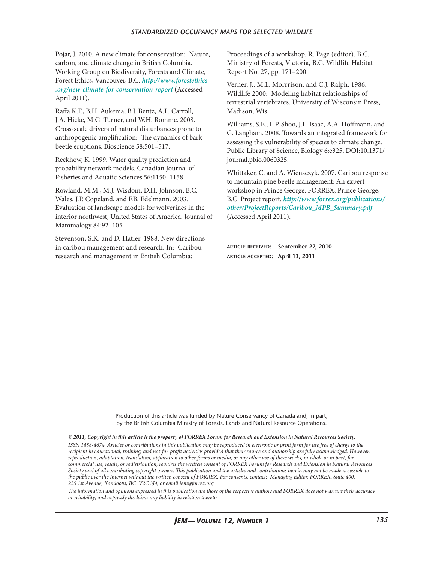#### *standardized occupancy maps for selected wildlife*

Pojar, J. 2010. A new climate for conservation: Nature, carbon, and climate change in British Columbia. Working Group on Biodiversity, Forests and Climate, Forest Ethics, Vancouver, B.C. *[http://www.forestethics](http://www.forestethics.org/new-climate-for-conservation-report) [.org/new-climate-for-conservation-report](http://www.forestethics.org/new-climate-for-conservation-report)* (Accessed April 2011).

Raffa K.F., B.H. Aukema, B.J. Bentz, A.L. Carroll, J.A. Hicke, M.G. Turner, and W.H. Romme. 2008. Cross-scale drivers of natural disturbances prone to anthropogenic amplification: The dynamics of bark beetle eruptions. Bioscience 58:501–517.

Reckhow, K. 1999. Water quality prediction and probability network models. Canadian Journal of Fisheries and Aquatic Sciences 56:1150–1158.

Rowland, M.M., M.J. Wisdom, D.H. Johnson, B.C. Wales, J.P. Copeland, and F.B. Edelmann. 2003. Evaluation of landscape models for wolverines in the interior northwest, United States of America. Journal of Mammalogy 84:92–105.

Stevenson, S.K. and D. Hatler. 1988. New directions in caribou management and research. In: Caribou research and management in British Columbia:

Proceedings of a workshop. R. Page (editor). B.C. Ministry of Forests, Victoria, B.C. Wildlife Habitat Report No. 27, pp. 171–200.

Verner, J., M.L. Morrrison, and C.J. Ralph. 1986. Wildlife 2000: Modeling habitat relationships of terrestrial vertebrates. University of Wisconsin Press, Madison, Wis.

Williams, S.E., L.P. Shoo, J.L. Isaac, A.A. Hoffmann, and G. Langham. 2008. Towards an integrated framework for assessing the vulnerability of species to climate change. Public Library of Science, Biology 6:e325. DOI:10.1371/ journal.pbio.0060325.

Whittaker, C. and A. Wiensczyk. 2007. Caribou response to mountain pine beetle management: An expert workshop in Prince George. FORREX, Prince George, B.C. Project report. *[http://www.forrex.org/publications/](http://www.forrex.org/publications/other/ProjectReports/Caribou_MPB_Summary.pdf) [other/ProjectReports/Caribou\\_MPB\\_Summary.pdf](http://www.forrex.org/publications/other/ProjectReports/Caribou_MPB_Summary.pdf)* (Accessed April 2011).

**article received: September 22, 2010 article accepted: April 13, 2011**

Production of this article was funded by Nature Conservancy of Canada and, in part, by the British Columbia Ministry of Forests, Lands and Natural Resource Operations.

#### $© 2011, Copyright in this article is the property of FORREX Forum for Research and Extension in Natural Resources Society.$

*issn 1488-4674. Articles or contributions in this publication may be reproduced in electronic or print form for use free of charge to the*  recipient in educational, training, and not-for-profit activities provided that their source and authorship are fully acknowledged. However, *reproduction, adaptation, translation, application to other forms or media, or any other use of these works, in whole or in part, for*  commercial use, resale, or redistribution, requires the written consent of FORREX Forum for Research and Extension in Natural Resources *Society and of all contributing copyright owners. This publication and the articles and contributions herein may not be made accessible to*  the public over the Internet without the written consent of FORREX. For consents, contact: Managing Editor, FORREX, Suite 400, *235 1st Avenue, Kamloops, BC V2C 3J4, or email [jem@forrex.org](mailto:jem%40forrex.org?subject=)*

*The information and opinions expressed in this publication are those of the respective authors and Forrex does not warrant their accuracy or reliability, and expressly disclaims any liability in relation thereto.*